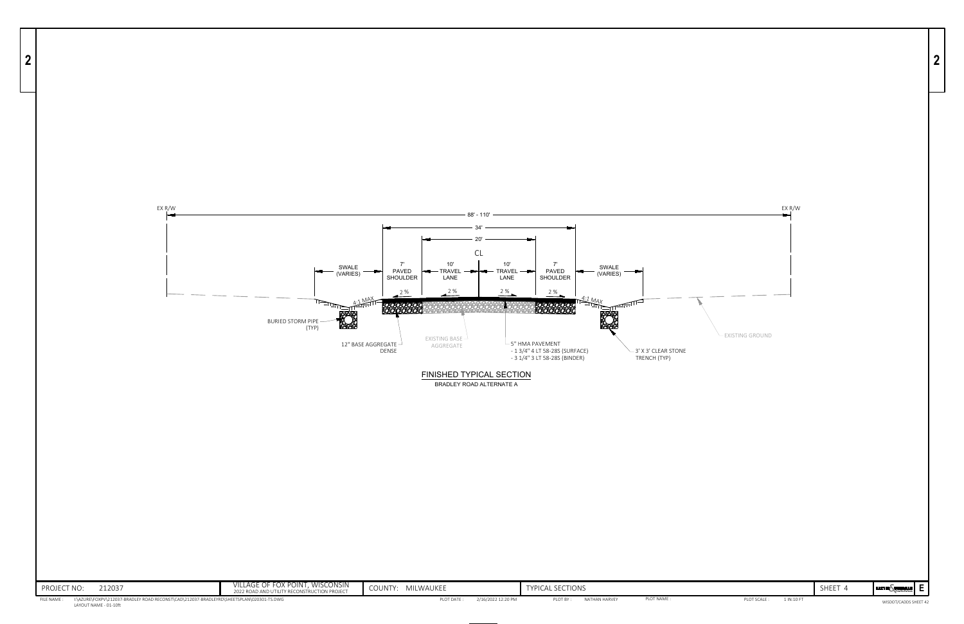



| . ⊢ ⊢ | <b>BAXTER WOODMAN</b> |  |
|-------|-----------------------|--|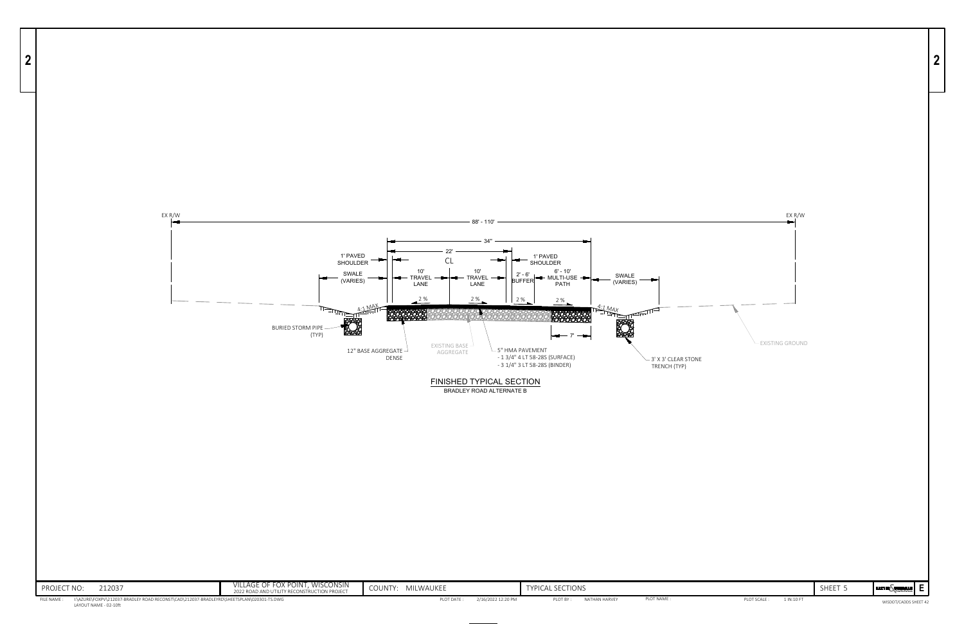

| SHEET 5 | <b>E</b> |  |
|---------|----------|--|



WISDOT/CADDS SHEET 42



**2**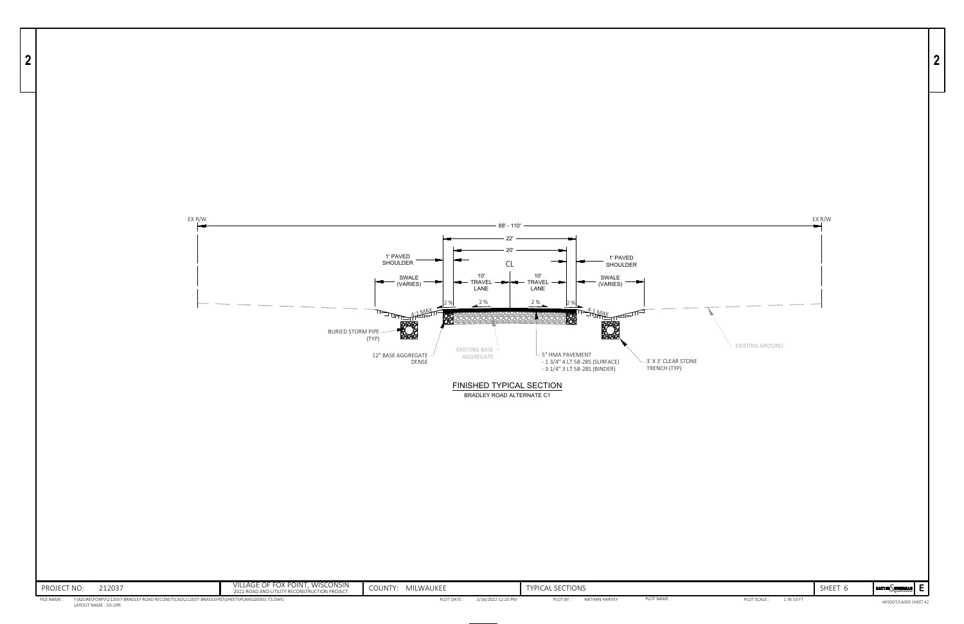| WOODMAN<br><b>BAXTER</b><br>Consulting Inc. neers | h |            |              |
|---------------------------------------------------|---|------------|--------------|
| WISDOT/CADDS SHEET 42                             |   | 1 IN.10 FT | PLOT SCALE · |